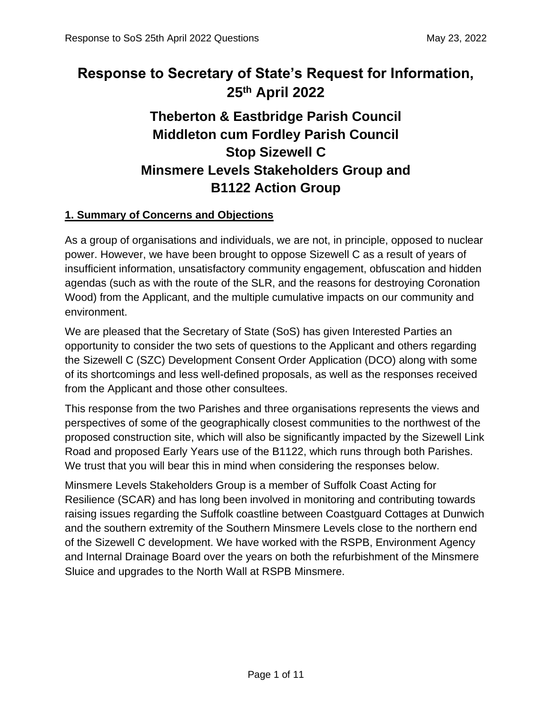# **Response to Secretary of State's Request for Information, 25th April 2022**

# **Theberton & Eastbridge Parish Council Middleton cum Fordley Parish Council Stop Sizewell C Minsmere Levels Stakeholders Group and B1122 Action Group**

## **1. Summary of Concerns and Objections**

As a group of organisations and individuals, we are not, in principle, opposed to nuclear power. However, we have been brought to oppose Sizewell C as a result of years of insufficient information, unsatisfactory community engagement, obfuscation and hidden agendas (such as with the route of the SLR, and the reasons for destroying Coronation Wood) from the Applicant, and the multiple cumulative impacts on our community and environment.

We are pleased that the Secretary of State (SoS) has given Interested Parties an opportunity to consider the two sets of questions to the Applicant and others regarding the Sizewell C (SZC) Development Consent Order Application (DCO) along with some of its shortcomings and less well-defined proposals, as well as the responses received from the Applicant and those other consultees.

This response from the two Parishes and three organisations represents the views and perspectives of some of the geographically closest communities to the northwest of the proposed construction site, which will also be significantly impacted by the Sizewell Link Road and proposed Early Years use of the B1122, which runs through both Parishes. We trust that you will bear this in mind when considering the responses below.

Minsmere Levels Stakeholders Group is a member of Suffolk Coast Acting for Resilience (SCAR) and has long been involved in monitoring and contributing towards raising issues regarding the Suffolk coastline between Coastguard Cottages at Dunwich and the southern extremity of the Southern Minsmere Levels close to the northern end of the Sizewell C development. We have worked with the RSPB, Environment Agency and Internal Drainage Board over the years on both the refurbishment of the Minsmere Sluice and upgrades to the North Wall at RSPB Minsmere.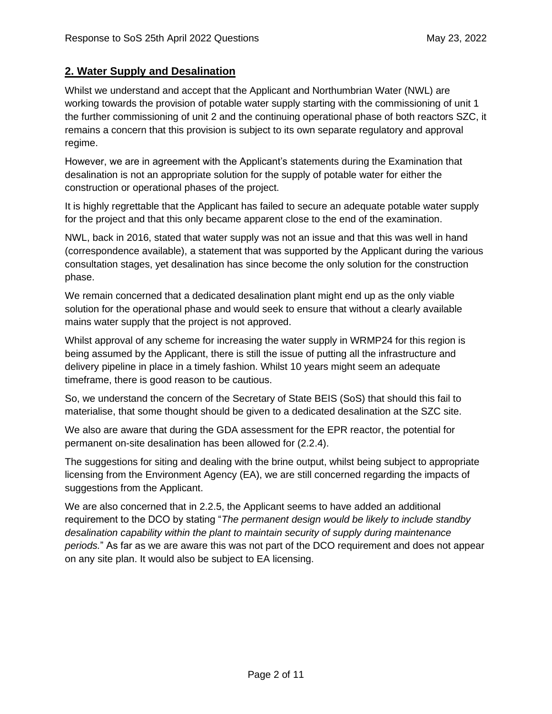### **2. Water Supply and Desalination**

Whilst we understand and accept that the Applicant and Northumbrian Water (NWL) are working towards the provision of potable water supply starting with the commissioning of unit 1 the further commissioning of unit 2 and the continuing operational phase of both reactors SZC, it remains a concern that this provision is subject to its own separate regulatory and approval regime.

However, we are in agreement with the Applicant's statements during the Examination that desalination is not an appropriate solution for the supply of potable water for either the construction or operational phases of the project.

It is highly regrettable that the Applicant has failed to secure an adequate potable water supply for the project and that this only became apparent close to the end of the examination.

NWL, back in 2016, stated that water supply was not an issue and that this was well in hand (correspondence available), a statement that was supported by the Applicant during the various consultation stages, yet desalination has since become the only solution for the construction phase.

We remain concerned that a dedicated desalination plant might end up as the only viable solution for the operational phase and would seek to ensure that without a clearly available mains water supply that the project is not approved.

Whilst approval of any scheme for increasing the water supply in WRMP24 for this region is being assumed by the Applicant, there is still the issue of putting all the infrastructure and delivery pipeline in place in a timely fashion. Whilst 10 years might seem an adequate timeframe, there is good reason to be cautious.

So, we understand the concern of the Secretary of State BEIS (SoS) that should this fail to materialise, that some thought should be given to a dedicated desalination at the SZC site.

We also are aware that during the GDA assessment for the EPR reactor, the potential for permanent on-site desalination has been allowed for (2.2.4).

The suggestions for siting and dealing with the brine output, whilst being subject to appropriate licensing from the Environment Agency (EA), we are still concerned regarding the impacts of suggestions from the Applicant.

We are also concerned that in 2.2.5, the Applicant seems to have added an additional requirement to the DCO by stating "*The permanent design would be likely to include standby desalination capability within the plant to maintain security of supply during maintenance periods.*" As far as we are aware this was not part of the DCO requirement and does not appear on any site plan. It would also be subject to EA licensing.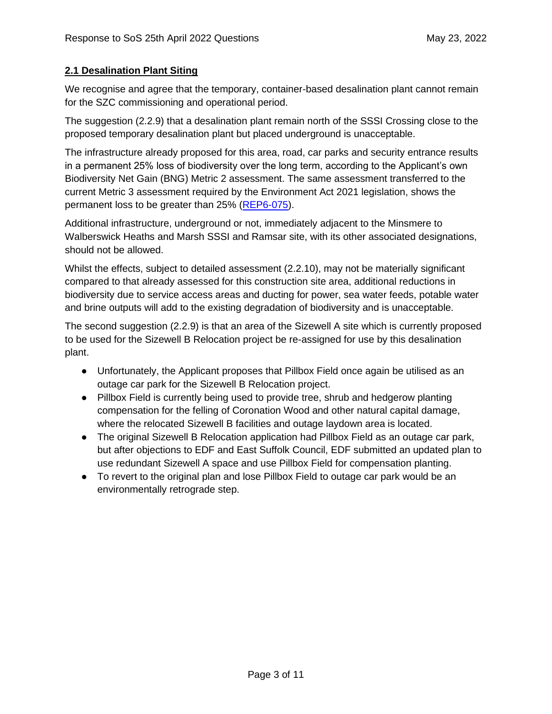#### **2.1 Desalination Plant Siting**

We recognise and agree that the temporary, container-based desalination plant cannot remain for the SZC commissioning and operational period.

The suggestion (2.2.9) that a desalination plant remain north of the SSSI Crossing close to the proposed temporary desalination plant but placed underground is unacceptable.

The infrastructure already proposed for this area, road, car parks and security entrance results in a permanent 25% loss of biodiversity over the long term, according to the Applicant's own Biodiversity Net Gain (BNG) Metric 2 assessment. The same assessment transferred to the current Metric 3 assessment required by the Environment Act 2021 legislation, shows the permanent loss to be greater than 25% (REP6-075).

Additional infrastructure, underground or not, immediately adjacent to the Minsmere to Walberswick Heaths and Marsh SSSI and Ramsar site, with its other associated designations, should not be allowed.

Whilst the effects, subject to detailed assessment (2.2.10), may not be materially significant compared to that already assessed for this construction site area, additional reductions in biodiversity due to service access areas and ducting for power, sea water feeds, potable water and brine outputs will add to the existing degradation of biodiversity and is unacceptable.

The second suggestion (2.2.9) is that an area of the Sizewell A site which is currently proposed to be used for the Sizewell B Relocation project be re-assigned for use by this desalination plant.

- Unfortunately, the Applicant proposes that Pillbox Field once again be utilised as an outage car park for the Sizewell B Relocation project.
- Pillbox Field is currently being used to provide tree, shrub and hedgerow planting compensation for the felling of Coronation Wood and other natural capital damage, where the relocated Sizewell B facilities and outage laydown area is located.
- The original Sizewell B Relocation application had Pillbox Field as an outage car park, but after objections to EDF and East Suffolk Council, EDF submitted an updated plan to use redundant Sizewell A space and use Pillbox Field for compensation planting.
- To revert to the original plan and lose Pillbox Field to outage car park would be an environmentally retrograde step.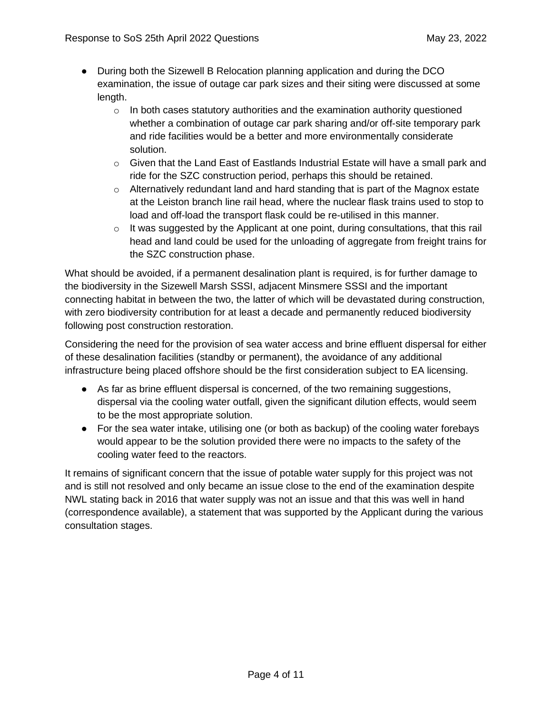- During both the Sizewell B Relocation planning application and during the DCO examination, the issue of outage car park sizes and their siting were discussed at some length.
	- $\circ$  In both cases statutory authorities and the examination authority questioned whether a combination of outage car park sharing and/or off-site temporary park and ride facilities would be a better and more environmentally considerate solution.
	- $\circ$  Given that the Land East of Eastlands Industrial Estate will have a small park and ride for the SZC construction period, perhaps this should be retained.
	- $\circ$  Alternatively redundant land and hard standing that is part of the Magnox estate at the Leiston branch line rail head, where the nuclear flask trains used to stop to load and off-load the transport flask could be re-utilised in this manner.
	- $\circ$  It was suggested by the Applicant at one point, during consultations, that this rail head and land could be used for the unloading of aggregate from freight trains for the SZC construction phase.

What should be avoided, if a permanent desalination plant is required, is for further damage to the biodiversity in the Sizewell Marsh SSSI, adjacent Minsmere SSSI and the important connecting habitat in between the two, the latter of which will be devastated during construction, with zero biodiversity contribution for at least a decade and permanently reduced biodiversity following post construction restoration.

Considering the need for the provision of sea water access and brine effluent dispersal for either of these desalination facilities (standby or permanent), the avoidance of any additional infrastructure being placed offshore should be the first consideration subject to EA licensing.

- As far as brine effluent dispersal is concerned, of the two remaining suggestions, dispersal via the cooling water outfall, given the significant dilution effects, would seem to be the most appropriate solution.
- For the sea water intake, utilising one (or both as backup) of the cooling water forebays would appear to be the solution provided there were no impacts to the safety of the cooling water feed to the reactors.

It remains of significant concern that the issue of potable water supply for this project was not and is still not resolved and only became an issue close to the end of the examination despite NWL stating back in 2016 that water supply was not an issue and that this was well in hand (correspondence available), a statement that was supported by the Applicant during the various consultation stages.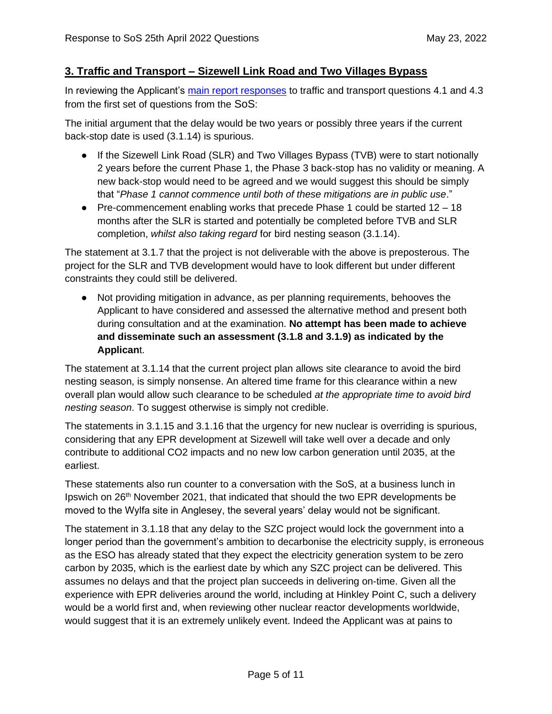### **3. Traffic and Transport – Sizewell Link Road and Two Villages Bypass**

In reviewing the Applicant's main report responses to traffic and transport questions 4.1 and 4.3 from the first set of questions from the SoS:

The initial argument that the delay would be two years or possibly three years if the current back-stop date is used (3.1.14) is spurious.

- If the Sizewell Link Road (SLR) and Two Villages Bypass (TVB) were to start notionally 2 years before the current Phase 1, the Phase 3 back-stop has no validity or meaning. A new back-stop would need to be agreed and we would suggest this should be simply that "*Phase 1 cannot commence until both of these mitigations are in public use*."
- Pre-commencement enabling works that precede Phase 1 could be started 12 18 months after the SLR is started and potentially be completed before TVB and SLR completion, *whilst also taking regard* for bird nesting season (3.1.14).

The statement at 3.1.7 that the project is not deliverable with the above is preposterous. The project for the SLR and TVB development would have to look different but under different constraints they could still be delivered.

● Not providing mitigation in advance, as per planning requirements, behooves the Applicant to have considered and assessed the alternative method and present both during consultation and at the examination. **No attempt has been made to achieve and disseminate such an assessment (3.1.8 and 3.1.9) as indicated by the Applican**t.

The statement at 3.1.14 that the current project plan allows site clearance to avoid the bird nesting season, is simply nonsense. An altered time frame for this clearance within a new overall plan would allow such clearance to be scheduled *at the appropriate time to avoid bird nesting season*. To suggest otherwise is simply not credible.

The statements in 3.1.15 and 3.1.16 that the urgency for new nuclear is overriding is spurious, considering that any EPR development at Sizewell will take well over a decade and only contribute to additional CO2 impacts and no new low carbon generation until 2035, at the earliest.

These statements also run counter to a conversation with the SoS, at a business lunch in Ipswich on 26th November 2021, that indicated that should the two EPR developments be moved to the Wylfa site in Anglesey, the several years' delay would not be significant.

The statement in 3.1.18 that any delay to the SZC project would lock the government into a longer period than the government's ambition to decarbonise the electricity supply, is erroneous as the ESO has already stated that they expect the electricity generation system to be zero carbon by 2035, which is the earliest date by which any SZC project can be delivered. This assumes no delays and that the project plan succeeds in delivering on-time. Given all the experience with EPR deliveries around the world, including at Hinkley Point C, such a delivery would be a world first and, when reviewing other nuclear reactor developments worldwide, would suggest that it is an extremely unlikely event. Indeed the Applicant was at pains to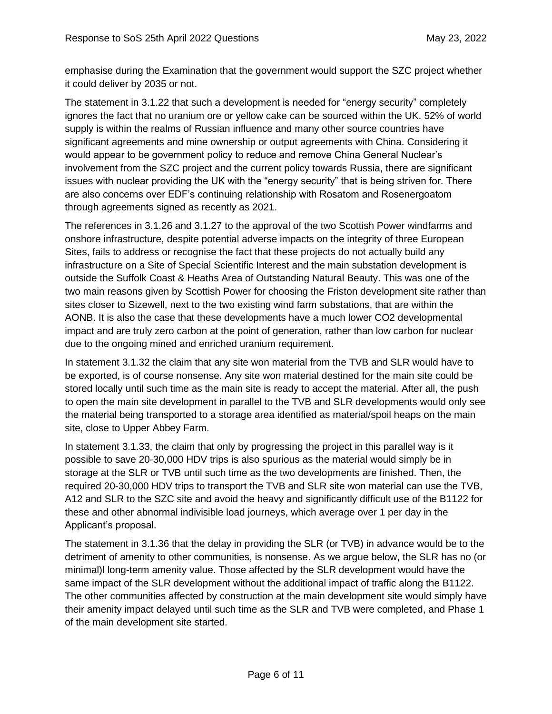emphasise during the Examination that the government would support the SZC project whether it could deliver by 2035 or not.

The statement in 3.1.22 that such a development is needed for "energy security" completely ignores the fact that no uranium ore or yellow cake can be sourced within the UK. 52% of world supply is within the realms of Russian influence and many other source countries have significant agreements and mine ownership or output agreements with China. Considering it would appear to be government policy to reduce and remove China General Nuclear's involvement from the SZC project and the current policy towards Russia, there are significant issues with nuclear providing the UK with the "energy security" that is being striven for. There are also concerns over EDF's continuing relationship with Rosatom and Rosenergoatom through agreements signed as recently as 2021.

The references in 3.1.26 and 3.1.27 to the approval of the two Scottish Power windfarms and onshore infrastructure, despite potential adverse impacts on the integrity of three European Sites, fails to address or recognise the fact that these projects do not actually build any infrastructure on a Site of Special Scientific Interest and the main substation development is outside the Suffolk Coast & Heaths Area of Outstanding Natural Beauty. This was one of the two main reasons given by Scottish Power for choosing the Friston development site rather than sites closer to Sizewell, next to the two existing wind farm substations, that are within the AONB. It is also the case that these developments have a much lower CO2 developmental impact and are truly zero carbon at the point of generation, rather than low carbon for nuclear due to the ongoing mined and enriched uranium requirement.

In statement 3.1.32 the claim that any site won material from the TVB and SLR would have to be exported, is of course nonsense. Any site won material destined for the main site could be stored locally until such time as the main site is ready to accept the material. After all, the push to open the main site development in parallel to the TVB and SLR developments would only see the material being transported to a storage area identified as material/spoil heaps on the main site, close to Upper Abbey Farm.

In statement 3.1.33, the claim that only by progressing the project in this parallel way is it possible to save 20-30,000 HDV trips is also spurious as the material would simply be in storage at the SLR or TVB until such time as the two developments are finished. Then, the required 20-30,000 HDV trips to transport the TVB and SLR site won material can use the TVB, A12 and SLR to the SZC site and avoid the heavy and significantly difficult use of the B1122 for these and other abnormal indivisible load journeys, which average over 1 per day in the Applicant's proposal.

The statement in 3.1.36 that the delay in providing the SLR (or TVB) in advance would be to the detriment of amenity to other communities, is nonsense. As we argue below, the SLR has no (or minimal)l long-term amenity value. Those affected by the SLR development would have the same impact of the SLR development without the additional impact of traffic along the B1122. The other communities affected by construction at the main development site would simply have their amenity impact delayed until such time as the SLR and TVB were completed, and Phase 1 of the main development site started.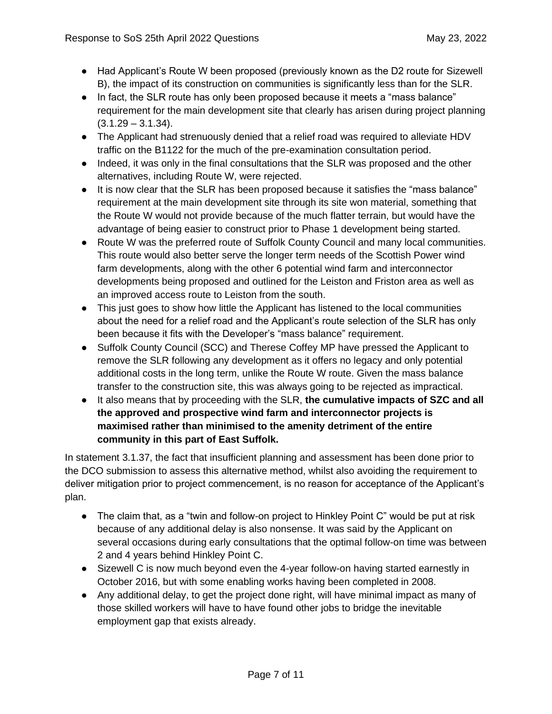- Had Applicant's Route W been proposed (previously known as the D2 route for Sizewell B), the impact of its construction on communities is significantly less than for the SLR.
- In fact, the SLR route has only been proposed because it meets a "mass balance" requirement for the main development site that clearly has arisen during project planning  $(3.1.29 - 3.1.34)$ .
- The Applicant had strenuously denied that a relief road was required to alleviate HDV traffic on the B1122 for the much of the pre-examination consultation period.
- Indeed, it was only in the final consultations that the SLR was proposed and the other alternatives, including Route W, were rejected.
- It is now clear that the SLR has been proposed because it satisfies the "mass balance" requirement at the main development site through its site won material, something that the Route W would not provide because of the much flatter terrain, but would have the advantage of being easier to construct prior to Phase 1 development being started.
- Route W was the preferred route of Suffolk County Council and many local communities. This route would also better serve the longer term needs of the Scottish Power wind farm developments, along with the other 6 potential wind farm and interconnector developments being proposed and outlined for the Leiston and Friston area as well as an improved access route to Leiston from the south.
- This just goes to show how little the Applicant has listened to the local communities about the need for a relief road and the Applicant's route selection of the SLR has only been because it fits with the Developer's "mass balance" requirement.
- Suffolk County Council (SCC) and Therese Coffey MP have pressed the Applicant to remove the SLR following any development as it offers no legacy and only potential additional costs in the long term, unlike the Route W route. Given the mass balance transfer to the construction site, this was always going to be rejected as impractical.
- It also means that by proceeding with the SLR, **the cumulative impacts of SZC and all the approved and prospective wind farm and interconnector projects is maximised rather than minimised to the amenity detriment of the entire community in this part of East Suffolk.**

In statement 3.1.37, the fact that insufficient planning and assessment has been done prior to the DCO submission to assess this alternative method, whilst also avoiding the requirement to deliver mitigation prior to project commencement, is no reason for acceptance of the Applicant's plan.

- The claim that, as a "twin and follow-on project to Hinkley Point C" would be put at risk because of any additional delay is also nonsense. It was said by the Applicant on several occasions during early consultations that the optimal follow-on time was between 2 and 4 years behind Hinkley Point C.
- Sizewell C is now much beyond even the 4-year follow-on having started earnestly in October 2016, but with some enabling works having been completed in 2008.
- Any additional delay, to get the project done right, will have minimal impact as many of those skilled workers will have to have found other jobs to bridge the inevitable employment gap that exists already.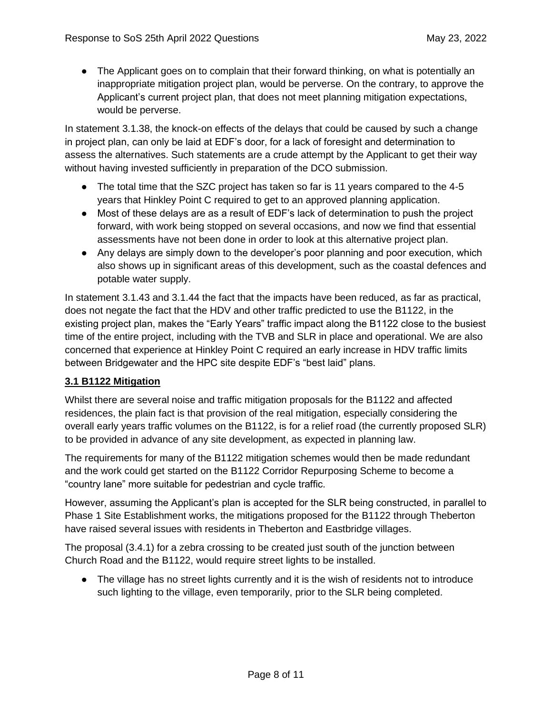• The Applicant goes on to complain that their forward thinking, on what is potentially an inappropriate mitigation project plan, would be perverse. On the contrary, to approve the Applicant's current project plan, that does not meet planning mitigation expectations, would be perverse.

In statement 3.1.38, the knock-on effects of the delays that could be caused by such a change in project plan, can only be laid at EDF's door, for a lack of foresight and determination to assess the alternatives. Such statements are a crude attempt by the Applicant to get their way without having invested sufficiently in preparation of the DCO submission.

- The total time that the SZC project has taken so far is 11 years compared to the 4-5 years that Hinkley Point C required to get to an approved planning application.
- Most of these delays are as a result of EDF's lack of determination to push the project forward, with work being stopped on several occasions, and now we find that essential assessments have not been done in order to look at this alternative project plan.
- Any delays are simply down to the developer's poor planning and poor execution, which also shows up in significant areas of this development, such as the coastal defences and potable water supply.

In statement 3.1.43 and 3.1.44 the fact that the impacts have been reduced, as far as practical, does not negate the fact that the HDV and other traffic predicted to use the B1122, in the existing project plan, makes the "Early Years" traffic impact along the B1122 close to the busiest time of the entire project, including with the TVB and SLR in place and operational. We are also concerned that experience at Hinkley Point C required an early increase in HDV traffic limits between Bridgewater and the HPC site despite EDF's "best laid" plans.

#### **3.1 B1122 Mitigation**

Whilst there are several noise and traffic mitigation proposals for the B1122 and affected residences, the plain fact is that provision of the real mitigation, especially considering the overall early years traffic volumes on the B1122, is for a relief road (the currently proposed SLR) to be provided in advance of any site development, as expected in planning law.

The requirements for many of the B1122 mitigation schemes would then be made redundant and the work could get started on the B1122 Corridor Repurposing Scheme to become a "country lane" more suitable for pedestrian and cycle traffic.

However, assuming the Applicant's plan is accepted for the SLR being constructed, in parallel to Phase 1 Site Establishment works, the mitigations proposed for the B1122 through Theberton have raised several issues with residents in Theberton and Eastbridge villages.

The proposal (3.4.1) for a zebra crossing to be created just south of the junction between Church Road and the B1122, would require street lights to be installed.

● The village has no street lights currently and it is the wish of residents not to introduce such lighting to the village, even temporarily, prior to the SLR being completed.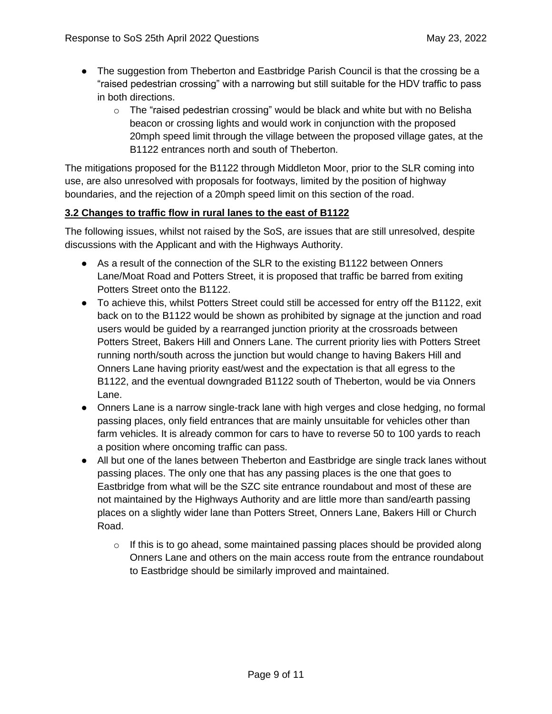- The suggestion from Theberton and Eastbridge Parish Council is that the crossing be a "raised pedestrian crossing" with a narrowing but still suitable for the HDV traffic to pass in both directions.
	- $\circ$  The "raised pedestrian crossing" would be black and white but with no Belisha beacon or crossing lights and would work in conjunction with the proposed 20mph speed limit through the village between the proposed village gates, at the B1122 entrances north and south of Theberton.

The mitigations proposed for the B1122 through Middleton Moor, prior to the SLR coming into use, are also unresolved with proposals for footways, limited by the position of highway boundaries, and the rejection of a 20mph speed limit on this section of the road.

#### **3.2 Changes to traffic flow in rural lanes to the east of B1122**

The following issues, whilst not raised by the SoS, are issues that are still unresolved, despite discussions with the Applicant and with the Highways Authority.

- As a result of the connection of the SLR to the existing B1122 between Onners Lane/Moat Road and Potters Street, it is proposed that traffic be barred from exiting Potters Street onto the B1122.
- To achieve this, whilst Potters Street could still be accessed for entry off the B1122, exit back on to the B1122 would be shown as prohibited by signage at the junction and road users would be guided by a rearranged junction priority at the crossroads between Potters Street, Bakers Hill and Onners Lane. The current priority lies with Potters Street running north/south across the junction but would change to having Bakers Hill and Onners Lane having priority east/west and the expectation is that all egress to the B1122, and the eventual downgraded B1122 south of Theberton, would be via Onners Lane.
- Onners Lane is a narrow single-track lane with high verges and close hedging, no formal passing places, only field entrances that are mainly unsuitable for vehicles other than farm vehicles. It is already common for cars to have to reverse 50 to 100 yards to reach a position where oncoming traffic can pass.
- All but one of the lanes between Theberton and Eastbridge are single track lanes without passing places. The only one that has any passing places is the one that goes to Eastbridge from what will be the SZC site entrance roundabout and most of these are not maintained by the Highways Authority and are little more than sand/earth passing places on a slightly wider lane than Potters Street, Onners Lane, Bakers Hill or Church Road.
	- $\circ$  If this is to go ahead, some maintained passing places should be provided along Onners Lane and others on the main access route from the entrance roundabout to Eastbridge should be similarly improved and maintained.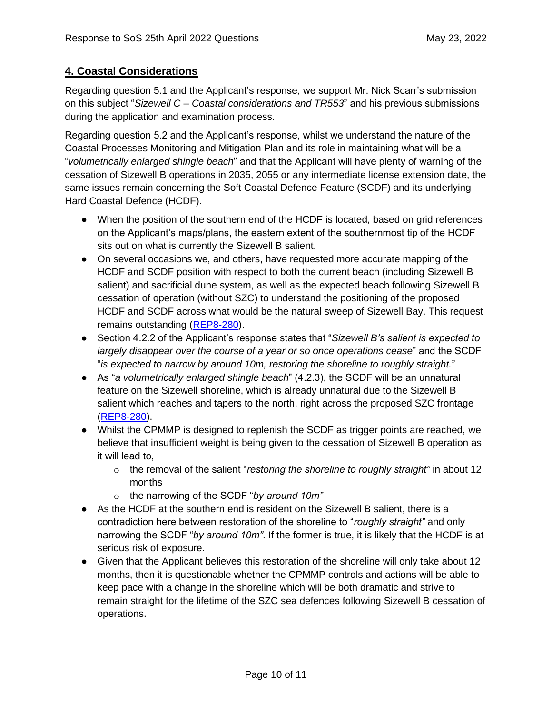## **4. Coastal Considerations**

Regarding question 5.1 and the Applicant's response, we support Mr. Nick Scarr's submission on this subject "*Sizewell C – Coastal considerations and TR553*" and his previous submissions during the application and examination process.

Regarding question 5.2 and the Applicant's response, whilst we understand the nature of the Coastal Processes Monitoring and Mitigation Plan and its role in maintaining what will be a "*volumetrically enlarged shingle beach*" and that the Applicant will have plenty of warning of the cessation of Sizewell B operations in 2035, 2055 or any intermediate license extension date, the same issues remain concerning the Soft Coastal Defence Feature (SCDF) and its underlying Hard Coastal Defence (HCDF).

- When the position of the southern end of the HCDF is located, based on grid references on the Applicant's maps/plans, the eastern extent of the southernmost tip of the HCDF sits out on what is currently the Sizewell B salient.
- On several occasions we, and others, have requested more accurate mapping of the HCDF and SCDF position with respect to both the current beach (including Sizewell B salient) and sacrificial dune system, as well as the expected beach following Sizewell B cessation of operation (without SZC) to understand the positioning of the proposed HCDF and SCDF across what would be the natural sweep of Sizewell Bay. This request remains outstanding (REP8-280).
- Section 4.2.2 of the Applicant's response states that "*Sizewell B's salient is expected to largely disappear over the course of a year or so once operations cease*" and the SCDF "*is expected to narrow by around 10m, restoring the shoreline to roughly straight.*"
- As "*a volumetrically enlarged shingle beach*" (4.2.3), the SCDF will be an unnatural feature on the Sizewell shoreline, which is already unnatural due to the Sizewell B salient which reaches and tapers to the north, right across the proposed SZC frontage (REP8-280).
- Whilst the CPMMP is designed to replenish the SCDF as trigger points are reached, we believe that insufficient weight is being given to the cessation of Sizewell B operation as it will lead to,
	- o the removal of the salient "*restoring the shoreline to roughly straight"* in about 12 months
	- o the narrowing of the SCDF "*by around 10m"*
- As the HCDF at the southern end is resident on the Sizewell B salient, there is a contradiction here between restoration of the shoreline to "*roughly straight"* and only narrowing the SCDF "*by around 10m"*. If the former is true, it is likely that the HCDF is at serious risk of exposure.
- Given that the Applicant believes this restoration of the shoreline will only take about 12 months, then it is questionable whether the CPMMP controls and actions will be able to keep pace with a change in the shoreline which will be both dramatic and strive to remain straight for the lifetime of the SZC sea defences following Sizewell B cessation of operations.